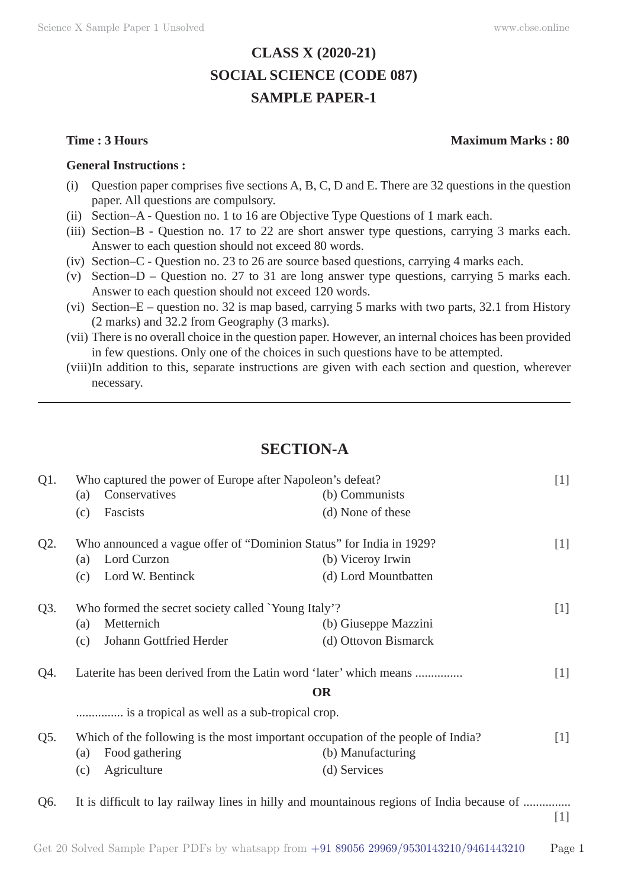# **CLASS X (2020-21) SOCIAL SCIENCE (CODE 087) SAMPLE PAPER-1**

#### **General Instructions :**

- (i) Question paper comprises five sections A, B, C, D and E. There are 32 questions in the question paper. All questions are compulsory.
- (ii) Section–A Question no. 1 to 16 are Objective Type Questions of 1 mark each.
- (iii) Section–B Question no. 17 to 22 are short answer type questions, carrying 3 marks each. Answer to each question should not exceed 80 words.
- (iv) Section–C Question no. 23 to 26 are source based questions, carrying 4 marks each.
- (v) Section–D Question no. 27 to 31 are long answer type questions, carrying 5 marks each. Answer to each question should not exceed 120 words.
- (vi) Section–E question no. 32 is map based, carrying 5 marks with two parts, 32.1 from History (2 marks) and 32.2 from Geography (3 marks).
- (vii) There is no overall choice in the question paper. However, an internal choices has been provided in few questions. Only one of the choices in such questions have to be attempted.
- (viii) In addition to this, separate instructions are given with each section and question, wherever necessary.

# **SECTION-A**

| $Q1$ . | Who captured the power of Europe after Napoleon's defeat?                                 |                      | $[1]$ |
|--------|-------------------------------------------------------------------------------------------|----------------------|-------|
|        | Conservatives<br>(a)                                                                      | (b) Communists       |       |
|        | (c)<br>Fascists                                                                           | (d) None of these    |       |
| Q2.    | Who announced a vague offer of "Dominion Status" for India in 1929?                       |                      | $[1]$ |
|        | Lord Curzon<br>(a)                                                                        | (b) Viceroy Irwin    |       |
|        | Lord W. Bentinck<br>(c)                                                                   | (d) Lord Mountbatten |       |
| $Q3$ . | Who formed the secret society called `Young Italy'?                                       |                      | $[1]$ |
|        | Metternich<br>(a)                                                                         | (b) Giuseppe Mazzini |       |
|        | Johann Gottfried Herder<br>(c)                                                            | (d) Ottovon Bismarck |       |
| Q4.    | Laterite has been derived from the Latin word 'later' which means                         |                      | $[1]$ |
|        |                                                                                           | <b>OR</b>            |       |
|        | is a tropical as well as a sub-tropical crop.                                             |                      |       |
| Q5.    | Which of the following is the most important occupation of the people of India?           |                      | [1]   |
|        | Food gathering<br>(a)                                                                     | (b) Manufacturing    |       |
|        | Agriculture<br>(c)                                                                        | (d) Services         |       |
| Q6.    | It is difficult to lay railway lines in hilly and mountainous regions of India because of |                      |       |
|        |                                                                                           |                      | $[1]$ |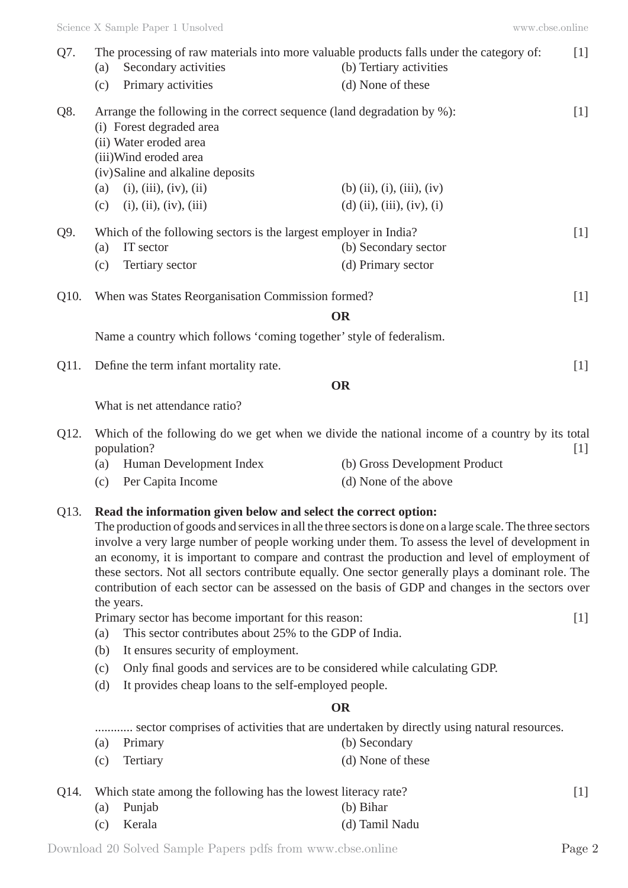|      | Science X Sample Paper 1 Unsolved                                                                                                                                                                                                                                                                                                                                                                                                                                                                                                                                                                       | www.cbse.online                                                                               |       |  |
|------|---------------------------------------------------------------------------------------------------------------------------------------------------------------------------------------------------------------------------------------------------------------------------------------------------------------------------------------------------------------------------------------------------------------------------------------------------------------------------------------------------------------------------------------------------------------------------------------------------------|-----------------------------------------------------------------------------------------------|-------|--|
| Q7.  | The processing of raw materials into more valuable products falls under the category of:<br>Secondary activities<br>(a)<br>Primary activities<br>(c)                                                                                                                                                                                                                                                                                                                                                                                                                                                    | (b) Tertiary activities<br>(d) None of these                                                  | [1]   |  |
| Q8.  | Arrange the following in the correct sequence (land degradation by %):<br>(i) Forest degraded area<br>(ii) Water eroded area<br>(iii) Wind eroded area<br>(iv)Saline and alkaline deposits<br>(a) (i), (iii), (iv), (ii)                                                                                                                                                                                                                                                                                                                                                                                | (b) $(ii)$ , $(i)$ , $(iii)$ , $(iv)$                                                         | $[1]$ |  |
|      | (i), (ii), (iv), (iii)<br>(c)                                                                                                                                                                                                                                                                                                                                                                                                                                                                                                                                                                           | $(d)$ (ii), (iii), (iv), (i)                                                                  |       |  |
| Q9.  | Which of the following sectors is the largest employer in India?<br>IT sector<br>(a)<br>Tertiary sector<br>(c)                                                                                                                                                                                                                                                                                                                                                                                                                                                                                          | (b) Secondary sector<br>(d) Primary sector                                                    | $[1]$ |  |
| Q10. | When was States Reorganisation Commission formed?                                                                                                                                                                                                                                                                                                                                                                                                                                                                                                                                                       |                                                                                               | $[1]$ |  |
|      | <b>OR</b>                                                                                                                                                                                                                                                                                                                                                                                                                                                                                                                                                                                               |                                                                                               |       |  |
|      | Name a country which follows 'coming together' style of federalism.                                                                                                                                                                                                                                                                                                                                                                                                                                                                                                                                     |                                                                                               |       |  |
| Q11. | Define the term infant mortality rate.                                                                                                                                                                                                                                                                                                                                                                                                                                                                                                                                                                  | <b>OR</b>                                                                                     | $[1]$ |  |
|      | What is net attendance ratio?                                                                                                                                                                                                                                                                                                                                                                                                                                                                                                                                                                           |                                                                                               |       |  |
| Q12. | population?                                                                                                                                                                                                                                                                                                                                                                                                                                                                                                                                                                                             | Which of the following do we get when we divide the national income of a country by its total | $[1]$ |  |
|      | Human Development Index<br>(a)<br>Per Capita Income<br>(c)                                                                                                                                                                                                                                                                                                                                                                                                                                                                                                                                              | (b) Gross Development Product<br>(d) None of the above                                        |       |  |
| Q13. | Read the information given below and select the correct option:<br>The production of goods and services in all the three sectors is done on a large scale. The three sectors<br>involve a very large number of people working under them. To assess the level of development in<br>an economy, it is important to compare and contrast the production and level of employment of<br>these sectors. Not all sectors contribute equally. One sector generally plays a dominant role. The<br>contribution of each sector can be assessed on the basis of GDP and changes in the sectors over<br>the years. |                                                                                               |       |  |
|      | Primary sector has become important for this reason:<br>This sector contributes about 25% to the GDP of India.<br>(a)                                                                                                                                                                                                                                                                                                                                                                                                                                                                                   |                                                                                               | $[1]$ |  |
|      | It ensures security of employment.<br>(b)                                                                                                                                                                                                                                                                                                                                                                                                                                                                                                                                                               |                                                                                               |       |  |
|      | Only final goods and services are to be considered while calculating GDP.<br>(c)                                                                                                                                                                                                                                                                                                                                                                                                                                                                                                                        |                                                                                               |       |  |
|      | (d)<br>It provides cheap loans to the self-employed people.                                                                                                                                                                                                                                                                                                                                                                                                                                                                                                                                             |                                                                                               |       |  |
|      |                                                                                                                                                                                                                                                                                                                                                                                                                                                                                                                                                                                                         | <b>OR</b>                                                                                     |       |  |

............ sector comprises of activities that are undertaken by directly using natural resources.

- (a) Primary (b) Secondary
- (c) Tertiary (d) None of these
- Q14. Which state among the following has the lowest literacy rate? [1]
	- (a) Punjab (b) Bihar
	- (c) Kerala (d) Tamil Nadu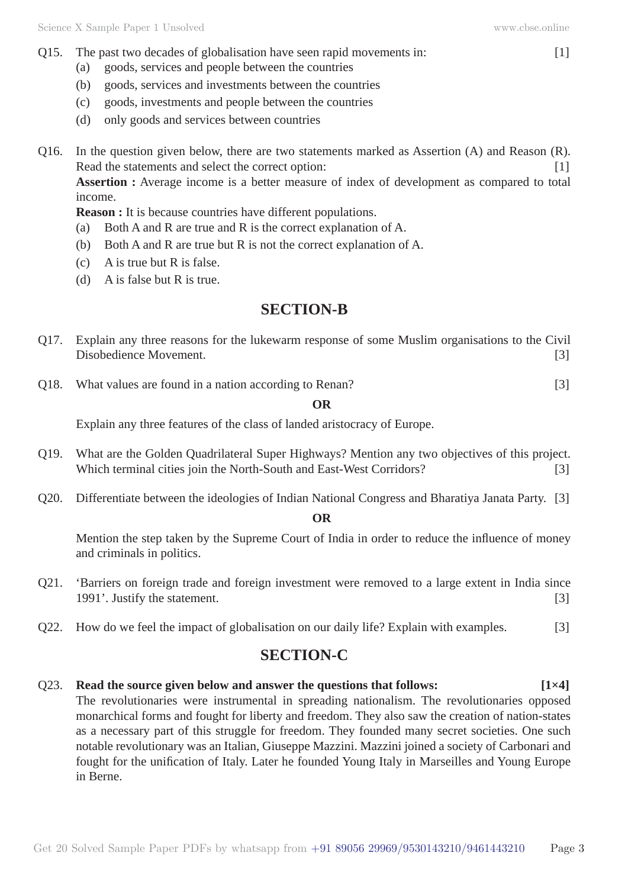- (a) goods, services and people between the countries
- (b) goods, services and investments between the countries
- (c) goods, investments and people between the countries
- (d) only goods and services between countries
- Q16. In the question given below, there are two statements marked as Assertion (A) and Reason (R). Read the statements and select the correct option: [1]

**Assertion :** Average income is a better measure of index of development as compared to total income.

**Reason :** It is because countries have different populations.

- (a) Both A and R are true and R is the correct explanation of A.
- (b) Both A and R are true but R is not the correct explanation of A.
- (c) A is true but R is false.
- (d) A is false but R is true.

# **SECTION-B**

- Q17. Explain any three reasons for the lukewarm response of some Muslim organisations to the Civil Disobedience Movement. [3]
- Q18. What values are found in a nation according to Renan? [3]

## **OR**

Explain any three features of the class of landed aristocracy of Europe.

- Q19. What are the Golden Quadrilateral Super Highways? Mention any two objectives of this project. Which terminal cities join the North-South and East-West Corridors? [3]
- Q20. Differentiate between the ideologies of Indian National Congress and Bharatiya Janata Party. [3]

## **OR**

Mention the step taken by the Supreme Court of India in order to reduce the influence of money and criminals in politics.

- Q21. 'Barriers on foreign trade and foreign investment were removed to a large extent in India since 1991'. Justify the statement. [3]
- Q22. How do we feel the impact of globalisation on our daily life? Explain with examples. [3]

# **SECTION-C**

Q23. **Read the source given below and answer the questions that follows: [1×4]** The revolutionaries were instrumental in spreading nationalism. The revolutionaries opposed monarchical forms and fought for liberty and freedom. They also saw the creation of nation-states as a necessary part of this struggle for freedom. They founded many secret societies. One such notable revolutionary was an Italian, Giuseppe Mazzini. Mazzini joined a society of Carbonari and fought for the unification of Italy. Later he founded Young Italy in Marseilles and Young Europe in Berne.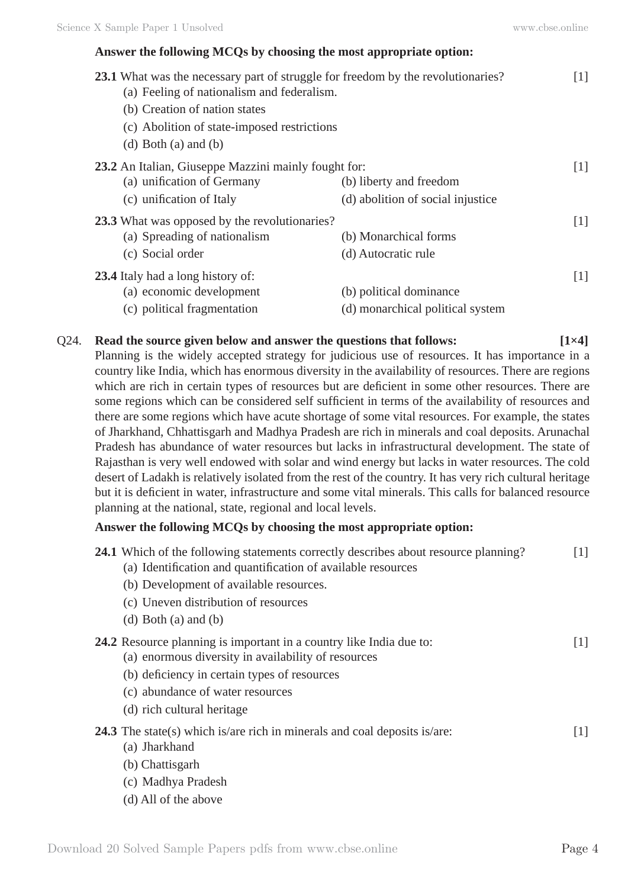# **Answer the following MCQs by choosing the most appropriate option: 23.1** What was the necessary part of struggle for freedom by the revolutionaries? [1] (a) Feeling of nationalism and federalism. (b) Creation of nation states (c) Abolition of state-imposed restrictions (d) Both (a) and (b) **23.2** An Italian, Giuseppe Mazzini mainly fought for: [1] (a) unification of Germany (b) liberty and freedom (c) unification of Italy (d) abolition of social injustice **23.3** What was opposed by the revolutionaries? [1] (a) Spreading of nationalism (b) Monarchical forms (c) Social order (d) Autocratic rule **23.4** Italy had a long history of: [1] (a) economic development (b) political dominance (c) political fragmentation (d) monarchical political system

#### Q24. **Read the source given below and answer the questions that follows:** [1×4]

Planning is the widely accepted strategy for judicious use of resources. It has importance in a country like India, which has enormous diversity in the availability of resources. There are regions which are rich in certain types of resources but are deficient in some other resources. There are some regions which can be considered self sufficient in terms of the availability of resources and there are some regions which have acute shortage of some vital resources. For example, the states of Jharkhand, Chhattisgarh and Madhya Pradesh are rich in minerals and coal deposits. Arunachal Pradesh has abundance of water resources but lacks in infrastructural development. The state of Rajasthan is very well endowed with solar and wind energy but lacks in water resources. The cold desert of Ladakh is relatively isolated from the rest of the country. It has very rich cultural heritage but it is deficient in water, infrastructure and some vital minerals. This calls for balanced resource planning at the national, state, regional and local levels.

#### **Answer the following MCQs by choosing the most appropriate option:**

| 24.1 Which of the following statements correctly describes about resource planning?<br>(a) Identification and quantification of available resources | $\lceil 1 \rceil$ |
|-----------------------------------------------------------------------------------------------------------------------------------------------------|-------------------|
| (b) Development of available resources.                                                                                                             |                   |
| (c) Uneven distribution of resources                                                                                                                |                   |
| (d) Both (a) and (b)                                                                                                                                |                   |
| 24.2 Resource planning is important in a country like India due to:<br>(a) enormous diversity in availability of resources                          | $\lceil 1 \rceil$ |
| (b) deficiency in certain types of resources                                                                                                        |                   |
| (c) abundance of water resources                                                                                                                    |                   |
| (d) rich cultural heritage                                                                                                                          |                   |
| <b>24.3</b> The state(s) which is/are rich in minerals and coal deposits is/are:                                                                    | $[1]$             |
| (a) Jharkhand                                                                                                                                       |                   |
| (b) Chattisgarh                                                                                                                                     |                   |
| (c) Madhya Pradesh                                                                                                                                  |                   |
| (d) All of the above                                                                                                                                |                   |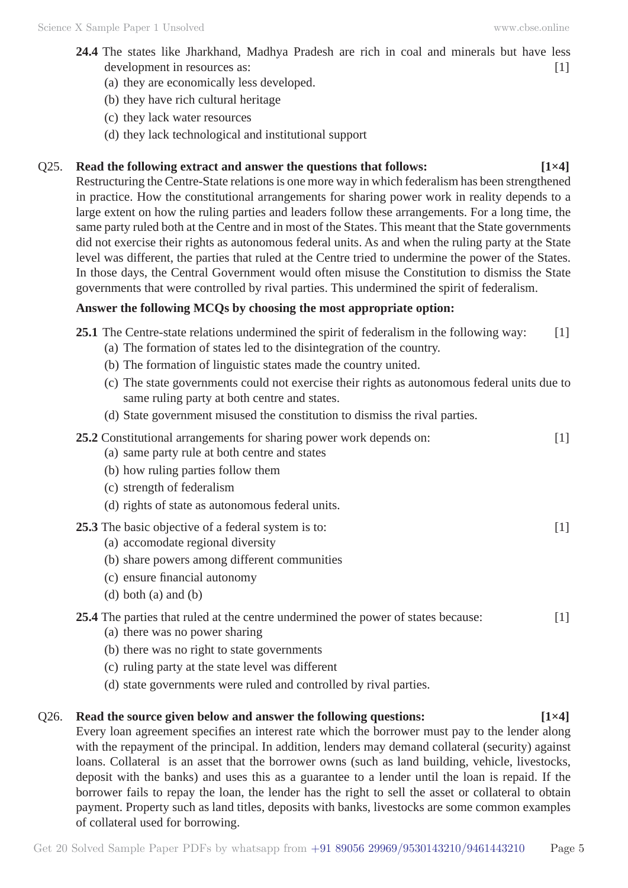- **24.4** The states like Jharkhand, Madhya Pradesh are rich in coal and minerals but have less development in resources as: [1]
	- (a) they are economically less developed.
	- (b) they have rich cultural heritage
	- (c) they lack water resources
	- (d) they lack technological and institutional support

### Q25. **Read the following extract and answer the questions that follows: [1×4]**

Restructuring the Centre-State relations is one more way in which federalism has been strengthened in practice. How the constitutional arrangements for sharing power work in reality depends to a large extent on how the ruling parties and leaders follow these arrangements. For a long time, the same party ruled both at the Centre and in most of the States. This meant that the State governments did not exercise their rights as autonomous federal units. As and when the ruling party at the State level was different, the parties that ruled at the Centre tried to undermine the power of the States. In those days, the Central Government would often misuse the Constitution to dismiss the State governments that were controlled by rival parties. This undermined the spirit of federalism.

### **Answer the following MCQs by choosing the most appropriate option:**

- **25.1** The Centre-state relations undermined the spirit of federalism in the following way: [1]
	- (a) The formation of states led to the disintegration of the country.
	- (b) The formation of linguistic states made the country united.
	- (c) The state governments could not exercise their rights as autonomous federal units due to same ruling party at both centre and states.
	- (d) State government misused the constitution to dismiss the rival parties.

| 25.2 Constitutional arrangements for sharing power work depends on: |  |
|---------------------------------------------------------------------|--|
| (a) same party rule at both centre and states                       |  |

- (b) how ruling parties follow them
- (c) strength of federalism
- (d) rights of state as autonomous federal units.

#### **25.3** The basic objective of a federal system is to: [1]

- (a) accomodate regional diversity
- (b) share powers among different communities
- (c) ensure financial autonomy
- (d) both (a) and (b)

## **25.4** The parties that ruled at the centre undermined the power of states because: [1]

- (a) there was no power sharing
- (b) there was no right to state governments
- (c) ruling party at the state level was different
- (d) state governments were ruled and controlled by rival parties.

#### Q26. **Read the source given below and answer the following questions: [1×4]**

Every loan agreement specifies an interest rate which the borrower must pay to the lender along with the repayment of the principal. In addition, lenders may demand collateral (security) against loans. Collateral is an asset that the borrower owns (such as land building, vehicle, livestocks, deposit with the banks) and uses this as a guarantee to a lender until the loan is repaid. If the borrower fails to repay the loan, the lender has the right to sell the asset or collateral to obtain payment. Property such as land titles, deposits with banks, livestocks are some common examples of collateral used for borrowing.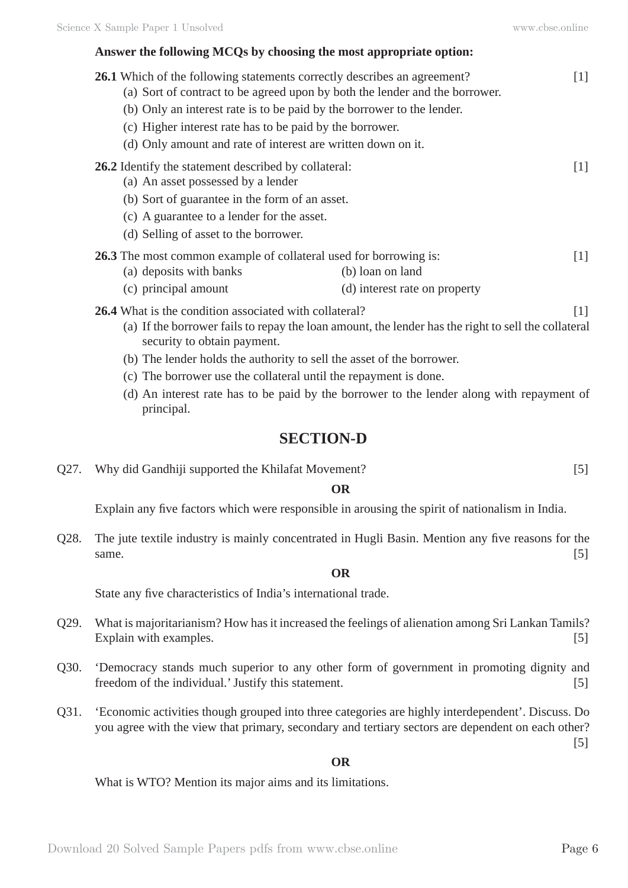#### **Answer the following MCQs by choosing the most appropriate option:**

- **26.1** Which of the following statements correctly describes an agreement? [1] (a) Sort of contract to be agreed upon by both the lender and the borrower. (b) Only an interest rate is to be paid by the borrower to the lender. (c) Higher interest rate has to be paid by the borrower. (d) Only amount and rate of interest are written down on it. **26.2** Identify the statement described by collateral: [1] (a) An asset possessed by a lender (b) Sort of guarantee in the form of an asset. (c) A guarantee to a lender for the asset. (d) Selling of asset to the borrower. **26.3** The most common example of collateral used for borrowing is: [1] (a) deposits with banks (b) loan on land (c) principal amount (d) interest rate on property **26.4** What is the condition associated with collateral? [1]
	- (a) If the borrower fails to repay the loan amount, the lender has the right to sell the collateral security to obtain payment.
	- (b) The lender holds the authority to sell the asset of the borrower.
	- (c) The borrower use the collateral until the repayment is done.
	- (d) An interest rate has to be paid by the borrower to the lender along with repayment of principal.

## **SECTION-D**

Q27. Why did Gandhiji supported the Khilafat Movement? [5]

#### **OR**

Explain any five factors which were responsible in arousing the spirit of nationalism in India.

Q28. The jute textile industry is mainly concentrated in Hugli Basin. Mention any five reasons for the same. [5]

#### **OR**

State any five characteristics of India's international trade.

- Q29. What is majoritarianism? How has it increased the feelings of alienation among Sri Lankan Tamils? Explain with examples. [5]
- Q30. 'Democracy stands much superior to any other form of government in promoting dignity and freedom of the individual.' Justify this statement. [5]
- Q31. 'Economic activities though grouped into three categories are highly interdependent'. Discuss. Do you agree with the view that primary, secondary and tertiary sectors are dependent on each other?

[5]

#### **OR**

What is WTO? Mention its major aims and its limitations.